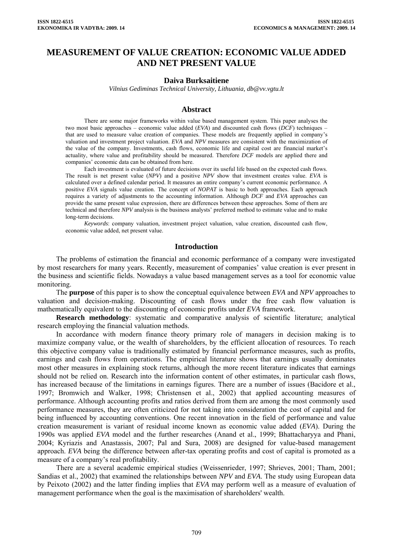# **MEASUREMENT OF VALUE CREATION: ECONOMIC VALUE ADDED AND NET PRESENT VALUE**

#### **Daiva Burksaitiene**

*Vilnius Gediminas Technical University, Lithuania, [db@vv.vgtu.lt](mailto:db@vv.vgtu.lt)*

#### **Abstract**

There are some major frameworks within value based management system. This paper analyses the two most basic approaches – economic value added (*EVA*) and discounted cash flows (*DCF*) techniques – that are used to measure value creation of companies. These models are frequently applied in company's valuation and investment project valuation. *EVA* and *NPV* measures are consistent with the maximization of the value of the company. Investments, cash flows, economic life and capital cost are financial market's actuality, where value and profitability should be measured. Therefore *DCF* models are applied there and companies' economic data can be obtained from here.

Each investment is evaluated of future decisions over its useful life based on the expected cash flows. The result is net present value (*NPV*) and a positive *NPV* show that investment creates value. *EVA* is calculated over a defined calendar period. It measures an entire company's current economic performance. A positive *EVA* signals value creation. The concept of *NOPAT* is basic to both approaches. Each approach requires a variety of adjustments to the accounting information. Although *DCF* and *EVA* approaches can provide the same present value expression, there are differences between these approaches. Some of them are technical and therefore *NPV* analysis is the business analysts' preferred method to estimate value and to make long-term decisions.

*Keywords*: company valuation, investment project valuation, value creation, discounted cash flow, economic value added, net present value.

#### **Introduction**

The problems of estimation the financial and economic performance of a company were investigated by most researchers for many years. Recently, measurement of companies' value creation is ever present in the business and scientific fields. Nowadays a value based management serves as a tool for economic value monitoring.

The **purpose** of this paper is to show the conceptual equivalence between *EVA* and *NPV* approaches to valuation and decision-making. Discounting of cash flows under the free cash flow valuation is mathematically equivalent to the discounting of economic profits under *EVA* framework.

**Research methodology**: systematic and comparative analysis of scientific literature; analytical research employing the financial valuation methods.

In accordance with modern finance theory primary role of managers in decision making is to maximize company value, or the wealth of shareholders, by the efficient allocation of resources. To reach this objective company value is traditionally estimated by financial performance measures, such as profits, earnings and cash flows from operations. The empirical literature shows that earnings usually dominates most other measures in explaining stock returns, although the more recent literature indicates that earnings should not be relied on. Research into the information content of other estimates, in particular cash flows, has increased because of the limitations in earnings figures. There are a number of issues (Bacidore et al., 1997; Bromwich and Walker, 1998; Christensen et al., 2002) that applied accounting measures of performance. Although accounting profits and ratios derived from them are among the most commonly used performance measures, they are often criticized for not taking into consideration the cost of capital and for being influenced by accounting conventions. One recent innovation in the field of performance and value creation measurement is variant of residual income known as economic value added (*EVA*). During the 1990s was applied *EVA* model and the further researches (Anand et al., 1999; Bhattacharyya and Phani, 2004; Kyriazis and Anastassis, 2007; Pal and Sura, 2008) are designed for value-based management approach. *EVA* being the difference between after-tax operating profits and cost of capital is promoted as a measure of a company's real profitability.

There are a several academic empirical studies (Weissenrieder, 1997; Shrieves, 2001; Tham, 2001; Sandias et al., 2002) that examined the relationships between *NPV* and *EVA*. The study using European data by Peixoto (2002) and the latter finding implies that *EVA* may perform well as a measure of evaluation of management performance when the goal is the maximisation of shareholders' wealth.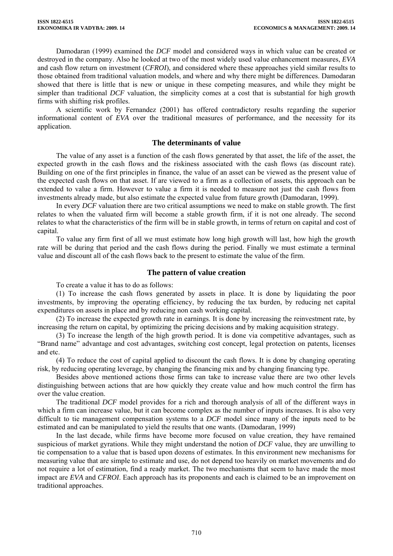Damodaran (1999) examined the *DCF* model and considered ways in which value can be created or destroyed in the company. Also he looked at two of the most widely used value enhancement measures, *EVA* and cash flow return on investment (*CFROI*), and considered where these approaches yield similar results to those obtained from traditional valuation models, and where and why there might be differences. Damodaran showed that there is little that is new or unique in these competing measures, and while they might be simpler than traditional *DCF* valuation, the simplicity comes at a cost that is substantial for high growth firms with shifting risk profiles.

A scientific work by Fernandez (2001) has offered contradictory results regarding the superior informational content of *EVA* over the traditional measures of performance, and the necessity for its application.

## **The determinants of value**

The value of any asset is a function of the cash flows generated by that asset, the life of the asset, the expected growth in the cash flows and the riskiness associated with the cash flows (as discount rate). Building on one of the first principles in finance, the value of an asset can be viewed as the present value of the expected cash flows on that asset. If are viewed to a firm as a collection of assets, this approach can be extended to value a firm. However to value a firm it is needed to measure not just the cash flows from investments already made, but also estimate the expected value from future growth (Damodaran, 1999).

In every *DCF* valuation there are two critical assumptions we need to make on stable growth. The first relates to when the valuated firm will become a stable growth firm, if it is not one already. The second relates to what the characteristics of the firm will be in stable growth, in terms of return on capital and cost of capital.

To value any firm first of all we must estimate how long high growth will last, how high the growth rate will be during that period and the cash flows during the period. Finally we must estimate a terminal value and discount all of the cash flows back to the present to estimate the value of the firm.

## **The pattern of value creation**

To create a value it has to do as follows:

(1) To increase the cash flows generated by assets in place. It is done by liquidating the poor investments, by improving the operating efficiency, by reducing the tax burden, by reducing net capital expenditures on assets in place and by reducing non cash working capital.

(2) To increase the expected growth rate in earnings. It is done by increasing the reinvestment rate, by increasing the return on capital, by optimizing the pricing decisions and by making acquisition strategy.

(3) To increase the length of the high growth period. It is done via competitive advantages, such as "Brand name" advantage and cost advantages, switching cost concept, legal protection on patents, licenses and etc.

(4) To reduce the cost of capital applied to discount the cash flows. It is done by changing operating risk, by reducing operating leverage, by changing the financing mix and by changing financing type.

Besides above mentioned actions those firms can take to increase value there are two other levels distinguishing between actions that are how quickly they create value and how much control the firm has over the value creation.

The traditional *DCF* model provides for a rich and thorough analysis of all of the different ways in which a firm can increase value, but it can become complex as the number of inputs increases. It is also very difficult to tie management compensation systems to a *DCF* model since many of the inputs need to be estimated and can be manipulated to yield the results that one wants. (Damodaran, 1999)

In the last decade, while firms have become more focused on value creation, they have remained suspicious of market gyrations. While they might understand the notion of *DCF* value, they are unwilling to tie compensation to a value that is based upon dozens of estimates. In this environment new mechanisms for measuring value that are simple to estimate and use, do not depend too heavily on market movements and do not require a lot of estimation, find a ready market. The two mechanisms that seem to have made the most impact are *EVA* and *CFROI*. Each approach has its proponents and each is claimed to be an improvement on traditional approaches.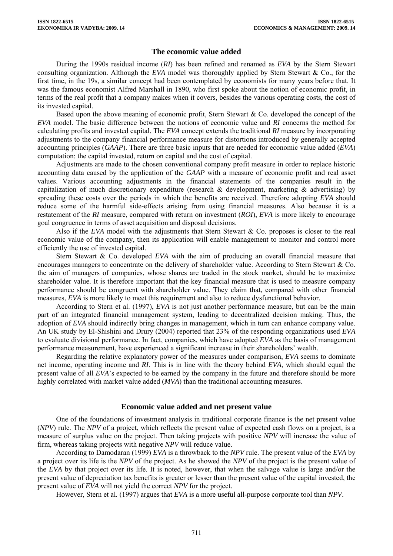# **The economic value added**

During the 1990s residual income (*RI*) has been refined and renamed as *EVA* by the Stern Stewart consulting organization. Although the *EVA* model was thoroughly applied by Stern Stewart & Co., for the first time, in the 19s, a similar concept had been contemplated by economists for many years before that. It was the famous economist Alfred Marshall in 1890, who first spoke about the notion of economic profit, in terms of the real profit that a company makes when it covers, besides the various operating costs, the cost of its invested capital.

Based upon the above meaning of economic profit, Stern Stewart  $\&$  Co. developed the concept of the *EVA* model. The basic difference between the notions of economic value and *RI* concerns the method for calculating profits and invested capital. The *EVA* concept extends the traditional *RI* measure by incorporating adjustments to the company financial performance measure for distortions introduced by generally accepted accounting principles (*GAAP*). There are three basic inputs that are needed for economic value added (*EVA*) computation: the capital invested, return on capital and the cost of capital.

Adjustments are made to the chosen conventional company profit measure in order to replace historic accounting data caused by the application of the *GAAP* with a measure of economic profit and real asset values. Various accounting adjustments in the financial statements of the companies result in the capitalization of much discretionary expenditure (research & development, marketing & advertising) by spreading these costs over the periods in which the benefits are received. Therefore adopting *EVA* should reduce some of the harmful side-effects arising from using financial measures. Also because it is a restatement of the *RI* measure, compared with return on investment (*ROI*), *EVA* is more likely to encourage goal congruence in terms of asset acquisition and disposal decisions.

Also if the *EVA* model with the adjustments that Stern Stewart & Co. proposes is closer to the real economic value of the company, then its application will enable management to monitor and control more efficiently the use of invested capital.

Stern Stewart & Co. developed *EVA* with the aim of producing an overall financial measure that encourages managers to concentrate on the delivery of shareholder value. According to Stern Stewart & Co. the aim of managers of companies, whose shares are traded in the stock market, should be to maximize shareholder value. It is therefore important that the key financial measure that is used to measure company performance should be congruent with shareholder value. They claim that, compared with other financial measures, *EVA* is more likely to meet this requirement and also to reduce dysfunctional behavior.

According to Stern et al. (1997), *EVA* is not just another performance measure, but can be the main part of an integrated financial management system, leading to decentralized decision making. Thus, the adoption of *EVA* should indirectly bring changes in management, which in turn can enhance company value. An UK study by El-Shishini and Drury (2004) reported that 23% of the responding organizations used *EVA* to evaluate divisional performance. In fact, companies, which have adopted *EVA* as the basis of management performance measurement, have experienced a significant increase in their shareholders' wealth.

Regarding the relative explanatory power of the measures under comparison, *EVA* seems to dominate net income, operating income and *RI*. This is in line with the theory behind *EVA*, which should equal the present value of all *EVA*'s expected to be earned by the company in the future and therefore should be more highly correlated with market value added (*MVA*) than the traditional accounting measures.

## **Economic value added and net present value**

One of the foundations of investment analysis in traditional corporate finance is the net present value (*NPV*) rule. The *NPV* of a project, which reflects the present value of expected cash flows on a project, is a measure of surplus value on the project. Then taking projects with positive *NPV* will increase the value of firm, whereas taking projects with negative *NPV* will reduce value.

According to Damodaran (1999) *EVA* is a throwback to the *NPV* rule. The present value of the *EVA* by a project over its life is the *NPV* of the project. As he showed the *NPV* of the project is the present value of the *EVA* by that project over its life. It is noted, however, that when the salvage value is large and/or the present value of depreciation tax benefits is greater or lesser than the present value of the capital invested, the present value of *EVA* will not yield the correct *NPV* for the project.

However, Stern et al. (1997) argues that *EVA* is a more useful all-purpose corporate tool than *NPV*.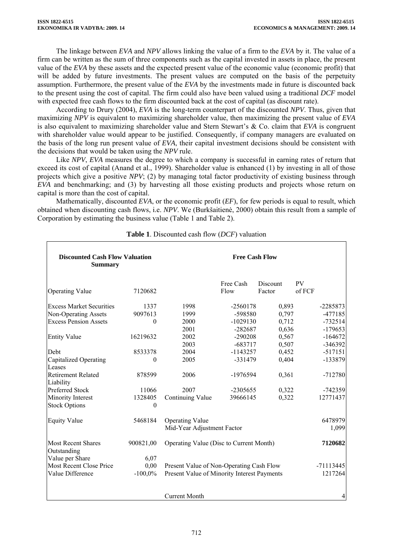The linkage between *EVA* and *NPV* allows linking the value of a firm to the *EVA* by it. The value of a firm can be written as the sum of three components such as the capital invested in assets in place, the present value of the *EVA* by these assets and the expected present value of the economic value (economic profit) that will be added by future investments. The present values are computed on the basis of the perpetuity assumption. Furthermore, the present value of the *EVA* by the investments made in future is discounted back to the present using the cost of capital. The firm could also have been valued using a traditional *DCF* model with expected free cash flows to the firm discounted back at the cost of capital (as discount rate).

According to Drury (2004), *EVA* is the long-term counterpart of the discounted *NPV*. Thus, given that maximizing *NPV* is equivalent to maximizing shareholder value, then maximizing the present value of *EVA* is also equivalent to maximizing shareholder value and Stern Stewart's & Co. claim that *EVA* is congruent with shareholder value would appear to be justified. Consequently, if company managers are evaluated on the basis of the long run present value of *EVA*, their capital investment decisions should be consistent with the decisions that would be taken using the *NPV* rule.

Like *NPV*, *EVA* measures the degree to which a company is successful in earning rates of return that exceed its cost of capital (Anand et al., 1999). Shareholder value is enhanced (1) by investing in all of those projects which give a positive *NPV*; (2) by managing total factor productivity of existing business through *EVA* and benchmarking; and (3) by harvesting all those existing products and projects whose return on capital is more than the cost of capital.

Mathematically, discounted *EVA*, or the economic profit (*EF*), for few periods is equal to result, which obtained when discounting cash flows, i.e. *NPV*. We (Burkšaitienė, 2000) obtain this result from a sample of Corporation by estimating the business value (Table 1 and Table 2).

| <b>Discounted Cash Flow Valuation</b><br><b>Summary</b> |           | <b>Free Cash Flow</b>                                  |                   |          |                     |  |  |
|---------------------------------------------------------|-----------|--------------------------------------------------------|-------------------|----------|---------------------|--|--|
|                                                         |           |                                                        | Free Cash<br>Flow | Discount | <b>PV</b><br>of FCF |  |  |
| <b>Operating Value</b>                                  | 7120682   |                                                        |                   | Factor   |                     |  |  |
| <b>Excess Market Securities</b>                         | 1337      | 1998                                                   | $-2560178$        | 0,893    | $-2285873$          |  |  |
| Non-Operating Assets                                    | 9097613   | 1999                                                   | -598580           | 0,797    | $-477185$           |  |  |
| <b>Excess Pension Assets</b>                            | 0         | 2000                                                   | $-1029130$        | 0,712    | $-732514$           |  |  |
|                                                         |           | 2001                                                   | $-282687$         | 0,636    | $-179653$           |  |  |
| <b>Entity Value</b>                                     | 16219632  | 2002                                                   | $-290208$         | 0,567    | $-164672$           |  |  |
|                                                         |           | 2003                                                   | $-683717$         | 0,507    | -346392             |  |  |
| Debt                                                    | 8533378   | 2004                                                   | $-1143257$        | 0,452    | $-517151$           |  |  |
| <b>Capitalized Operating</b>                            | 0         | 2005                                                   | $-331479$         | 0,404    | -133879             |  |  |
| Leases                                                  |           |                                                        |                   |          |                     |  |  |
| <b>Retirement Related</b><br>Liability                  | 878599    | 2006                                                   | -1976594          | 0,361    | $-712780$           |  |  |
| <b>Preferred Stock</b>                                  | 11066     | 2007                                                   | $-2305655$        | 0,322    | -742359             |  |  |
| Minority Interest                                       | 1328405   | Continuing Value                                       | 39666145          | 0,322    | 12771437            |  |  |
| <b>Stock Options</b>                                    | $\theta$  |                                                        |                   |          |                     |  |  |
| <b>Equity Value</b>                                     | 5468184   | <b>Operating Value</b>                                 |                   |          | 6478979             |  |  |
|                                                         |           | Mid-Year Adjustment Factor                             |                   |          | 1,099               |  |  |
| <b>Most Recent Shares</b><br>Outstanding                | 900821,00 | Operating Value (Disc to Current Month)                | 7120682           |          |                     |  |  |
| Value per Share                                         | 6,07      |                                                        |                   |          |                     |  |  |
| Most Recent Close Price                                 | 0,00      | Present Value of Non-Operating Cash Flow               | -71113445         |          |                     |  |  |
| Value Difference                                        | $-100,0%$ | Present Value of Minority Interest Payments<br>1217264 |                   |          |                     |  |  |
|                                                         |           |                                                        |                   |          |                     |  |  |
|                                                         |           | <b>Current Month</b>                                   |                   |          |                     |  |  |

**Table 1**. Discounted cash flow (*DCF*) valuation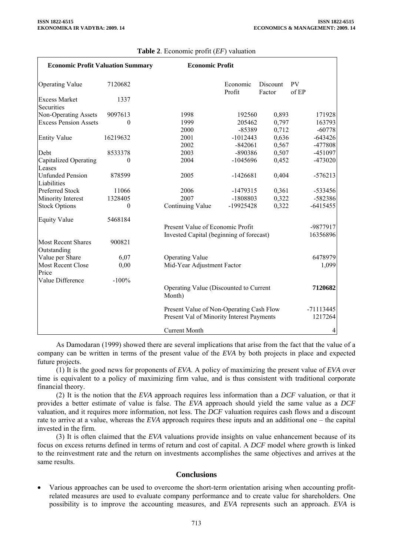| <b>Economic Profit Valuation Summary</b> |                  | <b>Economic Profit</b>                                                                               |                    |                    |                    |  |
|------------------------------------------|------------------|------------------------------------------------------------------------------------------------------|--------------------|--------------------|--------------------|--|
| <b>Operating Value</b>                   | 7120682          |                                                                                                      | Economic<br>Profit | Discount<br>Factor | <b>PV</b><br>of EP |  |
| <b>Excess Market</b><br>Securities       | 1337             |                                                                                                      |                    |                    |                    |  |
| Non-Operating Assets                     | 9097613          | 1998                                                                                                 | 192560             | 0,893              | 171928             |  |
| <b>Excess Pension Assets</b>             | $\theta$         | 1999                                                                                                 | 205462             | 0,797              | 163793             |  |
|                                          |                  | 2000                                                                                                 | $-85389$           | 0,712              | $-60778$           |  |
| <b>Entity Value</b>                      | 16219632         | 2001                                                                                                 | $-1012443$         | 0,636              | $-643426$          |  |
|                                          |                  | 2002                                                                                                 | $-842061$          | 0,567              | -477808            |  |
| Debt                                     | 8533378          | 2003                                                                                                 | -890386            | 0,507              | -451097            |  |
| <b>Capitalized Operating</b><br>Leases   | $\theta$         | 2004                                                                                                 | $-1045696$         | 0,452              | -473020            |  |
| <b>Unfunded Pension</b><br>Liabilities   | 878599           | 2005                                                                                                 | $-1426681$         | 0,404              | $-576213$          |  |
| Preferred Stock                          | 11066            | 2006                                                                                                 | $-1479315$         | 0,361              | -533456            |  |
| Minority Interest                        | 1328405          | 2007                                                                                                 | -1808803           | 0,322              | -582386            |  |
| <b>Stock Options</b>                     | $\boldsymbol{0}$ | Continuing Value                                                                                     | -19925428          | 0,322              | $-6415455$         |  |
| <b>Equity Value</b>                      | 5468184          |                                                                                                      |                    |                    |                    |  |
|                                          |                  | Present Value of Economic Profit<br>-9877917<br>Invested Capital (beginning of forecast)<br>16356896 |                    |                    |                    |  |
| <b>Most Recent Shares</b><br>Outstanding | 900821           |                                                                                                      |                    |                    |                    |  |
| Value per Share                          | 6,07             | <b>Operating Value</b>                                                                               |                    |                    | 6478979            |  |
| <b>Most Recent Close</b><br>Price        | 0,00             | Mid-Year Adjustment Factor<br>1,099                                                                  |                    |                    |                    |  |
| Value Difference                         | $-100%$          | Operating Value (Discounted to Current<br>7120682<br>Month)                                          |                    |                    |                    |  |
|                                          |                  | Present Value of Non-Operating Cash Flow<br>$-71113445$                                              |                    |                    |                    |  |
|                                          |                  | 1217264<br>Present Val of Minority Interest Payments                                                 |                    |                    |                    |  |
|                                          |                  | <b>Current Month</b>                                                                                 |                    |                    | 4                  |  |

# **Table 2**. Economic profit (*EF*) valuation

As Damodaran (1999) showed there are several implications that arise from the fact that the value of a company can be written in terms of the present value of the *EVA* by both projects in place and expected future projects.

(1) It is the good news for proponents of *EVA*. A policy of maximizing the present value of *EVA* over time is equivalent to a policy of maximizing firm value, and is thus consistent with traditional corporate financial theory.

(2) It is the notion that the *EVA* approach requires less information than a *DCF* valuation, or that it provides a better estimate of value is false. The *EVA* approach should yield the same value as a *DCF* valuation, and it requires more information, not less. The *DCF* valuation requires cash flows and a discount rate to arrive at a value, whereas the *EVA* approach requires these inputs and an additional one – the capital invested in the firm.

(3) It is often claimed that the *EVA* valuations provide insights on value enhancement because of its focus on excess returns defined in terms of return and cost of capital. A *DCF* model where growth is linked to the reinvestment rate and the return on investments accomplishes the same objectives and arrives at the same results.

## **Conclusions**

• Various approaches can be used to overcome the short-term orientation arising when accounting profitrelated measures are used to evaluate company performance and to create value for shareholders. One possibility is to improve the accounting measures, and *EVA* represents such an approach. *EVA* is